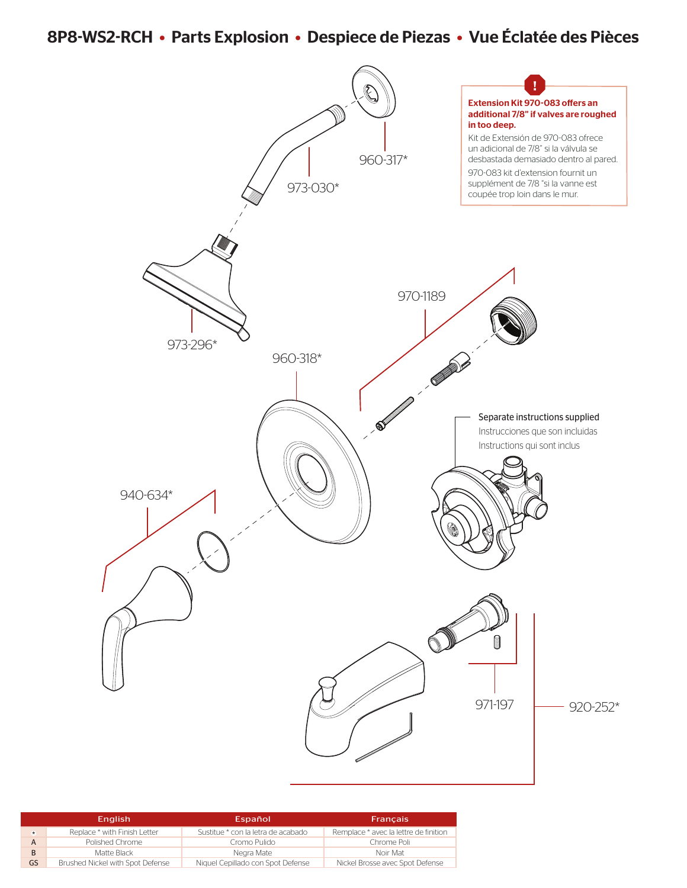# 8P8-WS2-RCH • Parts Explosion • Despiece de Piezas • Vue Éclatée des Pièces



|         | <b>English</b>                   | Español                            | <b>Francais</b>                       |
|---------|----------------------------------|------------------------------------|---------------------------------------|
| $\star$ | Replace * with Finish Letter     | Sustitue * con la letra de acabado | Remplace * avec la lettre de finition |
|         | Polished Chrome                  | Cromo Pulido                       | Chrome Poli                           |
| B       | Matte Black                      | Neara Mate                         | Noir Mat                              |
| GS      | Brushed Nickel with Spot Defense | Niquel Cepillado con Spot Defense  | Nickel Brosse avec Spot Defense       |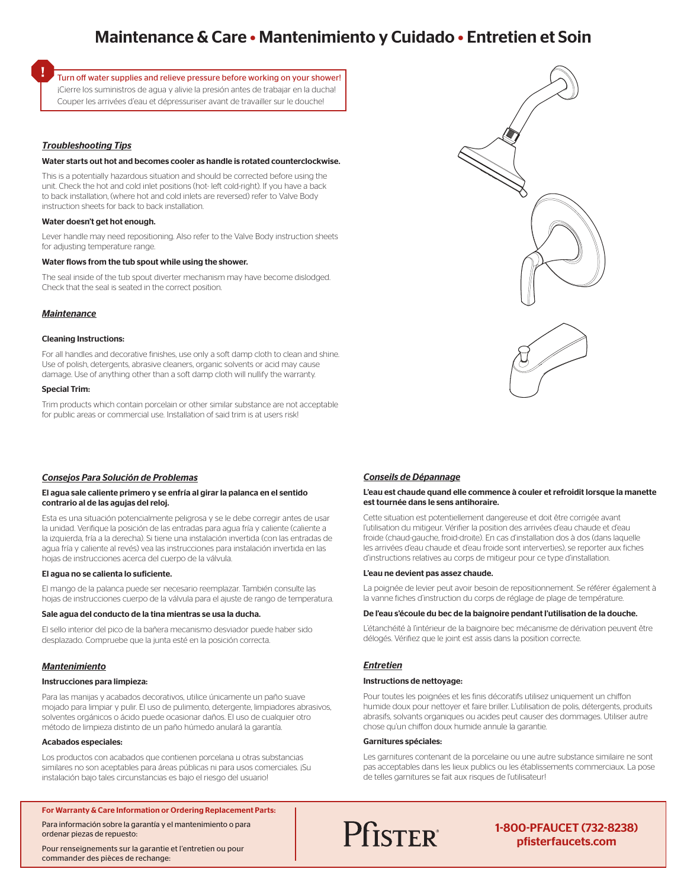# Maintenance & Care • Mantenimiento y Cuidado • Entretien et Soin

Turn off water supplies and relieve pressure before working on your shower! ¡Cierre los suministros de agua y alivie la presión antes de trabajar en la ducha! Couper les arrivées d'eau et dépressuriser avant de travailler sur le douche!

### *Troubleshooting Tips*

#### Water starts out hot and becomes cooler as handle is rotated counterclockwise.

This is a potentially hazardous situation and should be corrected before using the unit. Check the hot and cold inlet positions (hot- left cold-right). If you have a back to back installation, (where hot and cold inlets are reversed) refer to Valve Body instruction sheets for back to back installation.

#### Water doesn't get hot enough.

Lever handle may need repositioning. Also refer to the Valve Body instruction sheets for adjusting temperature range.

#### Water flows from the tub spout while using the shower.

The seal inside of the tub spout diverter mechanism may have become dislodged. Check that the seal is seated in the correct position.

#### *Maintenance*

#### Cleaning Instructions:

For all handles and decorative finishes, use only a soft damp cloth to clean and shine. Use of polish, detergents, abrasive cleaners, organic solvents or acid may cause damage. Use of anything other than a soft damp cloth will nullify the warranty.

#### Special Trim:

Trim products which contain porcelain or other similar substance are not acceptable for public areas or commercial use. Installation of said trim is at users risk!

#### *Consejos Para Solución de Problemas*

#### El agua sale caliente primero y se enfría al girar la palanca en el sentido contrario al de las agujas del reloj.

Esta es una situación potencialmente peligrosa y se le debe corregir antes de usar la unidad. Verifique la posición de las entradas para agua fría y caliente (caliente a la izquierda, fría a la derecha). Si tiene una instalación invertida (con las entradas de agua fría y caliente al revés) vea las instrucciones para instalación invertida en las hojas de instrucciones acerca del cuerpo de la válvula.

#### El agua no se calienta lo suficiente.

El mango de la palanca puede ser necesario reemplazar. También consulte las hojas de instrucciones cuerpo de la válvula para el ajuste de rango de temperatura.

#### Sale agua del conducto de la tina mientras se usa la ducha.

El sello interior del pico de la bañera mecanismo desviador puede haber sido desplazado. Compruebe que la junta esté en la posición correcta.

#### *Mantenimiento*

#### Instrucciones para limpieza:

Para las manijas y acabados decorativos, utilice únicamente un paño suave mojado para limpiar y pulir. El uso de pulimento, detergente, limpiadores abrasivos, solventes orgánicos o ácido puede ocasionar daños. El uso de cualquier otro método de limpieza distinto de un paño húmedo anulará la garantía.

#### Acabados especiales:

Los productos con acabados que contienen porcelana u otras substancias similares no son aceptables para áreas públicas ni para usos comerciales. ¡Su instalación bajo tales circunstancias es bajo el riesgo del usuario!

#### For Warranty & Care Information or Ordering Replacement Parts:

Para información sobre la garantía y el mantenimiento o para ordenar piezas de repuesto:

Pour renseignements sur la garantie et l'entretien ou pour commander des pièces de rechange:



### *Conseils de Dépannage*

#### L'eau est chaude quand elle commence à couler et refroidit lorsque la manette est tournée dans le sens antihoraire.

Cette situation est potentiellement dangereuse et doit être corrigée avant l'utilisation du mitigeur. Vérifier la position des arrivées d'eau chaude et d'eau froide (chaud-gauche, froid-droite). En cas d'installation dos à dos (dans laquelle les arrivées d'eau chaude et d'eau froide sont interverties), se reporter aux fiches d'instructions relatives au corps de mitigeur pour ce type d'installation.

#### L'eau ne devient pas assez chaude.

La poignée de levier peut avoir besoin de repositionnement. Se référer également à la vanne fiches d'instruction du corps de réglage de plage de température.

#### De l'eau s'écoule du bec de la baignoire pendant l'utilisation de la douche.

L'étanchéité à l'intérieur de la baignoire bec mécanisme de dérivation peuvent être délogés. Vérifiez que le joint est assis dans la position correcte.

## *Entretien*

#### Instructions de nettoyage:

Pour toutes les poignées et les finis décoratifs utilisez uniquement un chiffon humide doux pour nettoyer et faire briller. L'utilisation de polis, détergents, produits abrasifs, solvants organiques ou acides peut causer des dommages. Utiliser autre chose qu'un chiffon doux humide annule la garantie.

#### Garnitures spéciales:

Les garnitures contenant de la porcelaine ou une autre substance similaire ne sont pas acceptables dans les lieux publics ou les établissements commerciaux. La pose de telles garnitures se fait aux risques de l'utilisateur!

**Pfister** 

1-800-PFAUCET (732-8238) pfisterfaucets.com